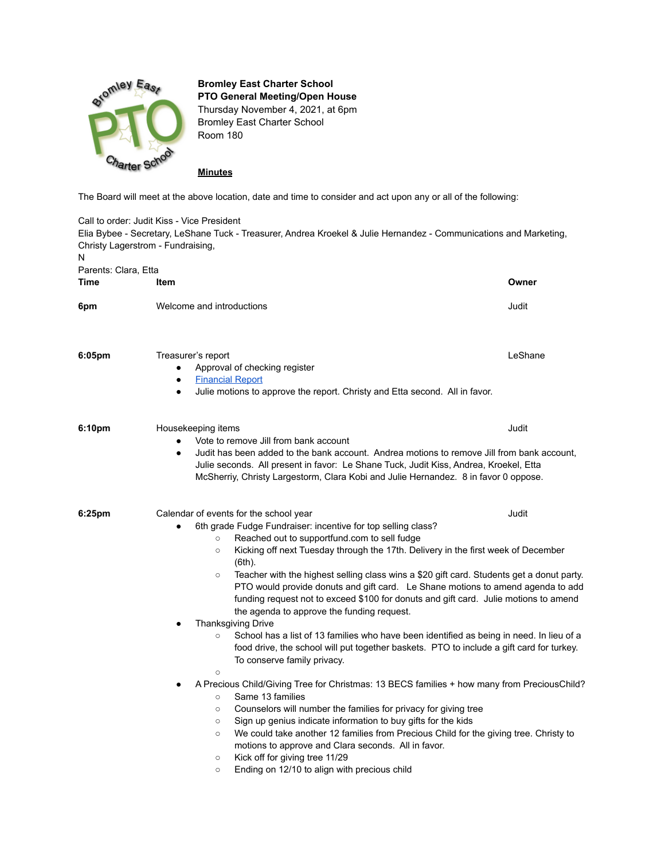

**Bromley East Charter School PTO General Meeting/Open House** Thursday November 4, 2021, at 6pm

Bromley East Charter School Room 180

**Minutes**

The Board will meet at the above location, date and time to consider and act upon any or all of the following:

Call to order: Judit Kiss - Vice President Elia Bybee - Secretary, LeShane Tuck - Treasurer, Andrea Kroekel & Julie Hernandez - Communications and Marketing, Christy Lagerstrom - Fundraising, N Parents: Clara, Etta **Time Item Owner 6pm** Welcome and introductions **Containers Containers Judit** Judit **6:05pm** Treasurer's report **Transformation** Construction Construction Construction Construction Construction Construction Construction Construction Construction Construction Construction Construction Construction Construc ● Approval of checking register **[Financial](https://docs.google.com/spreadsheets/d/1hWbvna0treWzWC8XCGic66nPgKKCFwtY5acWHrodVnw/edit#gid=334177601) Report** Julie motions to approve the report. Christy and Etta second. All in favor. **6:10pm** Housekeeping items **Judit Allen Strategies** Housekeeping items **Judit** Allen Strategies **Judit** Allen Strategies **Judit** Allen Strategies **Judit** Allen Strategies **Judit** Allen Strategies **Judit** Allen Strategies Vote to remove Jill from bank account Judit has been added to the bank account. Andrea motions to remove Jill from bank account, Julie seconds. All present in favor: Le Shane Tuck, Judit Kiss, Andrea, Kroekel, Etta McSherriy, Christy Largestorm, Clara Kobi and Julie Hernandez. 8 in favor 0 oppose. **6:25pm** Calendar of events for the school year **Calendar of events of the school year** Alexander Control of the school year Alexander Control of the school year Alexander Control of the school year Alexander Control of th 6th grade Fudge Fundraiser: incentive for top selling class? ○ Reached out to supportfund.com to sell fudge ○ Kicking off next Tuesday through the 17th. Delivery in the first week of December (6th). ○ Teacher with the highest selling class wins a \$20 gift card. Students get a donut party. PTO would provide donuts and gift card. Le Shane motions to amend agenda to add funding request not to exceed \$100 for donuts and gift card. Julie motions to amend the agenda to approve the funding request. **Thanksgiving Drive** ○ School has a list of 13 families who have been identified as being in need. In lieu of a food drive, the school will put together baskets. PTO to include a gift card for turkey. To conserve family privacy.  $\circ$ A Precious Child/Giving Tree for Christmas: 13 BECS families + how many from PreciousChild? ○ Same 13 families ○ Counselors will number the families for privacy for giving tree ○ Sign up genius indicate information to buy gifts for the kids ○ We could take another 12 families from Precious Child for the giving tree. Christy to motions to approve and Clara seconds. All in favor. ○ Kick off for giving tree 11/29 ○ Ending on 12/10 to align with precious child